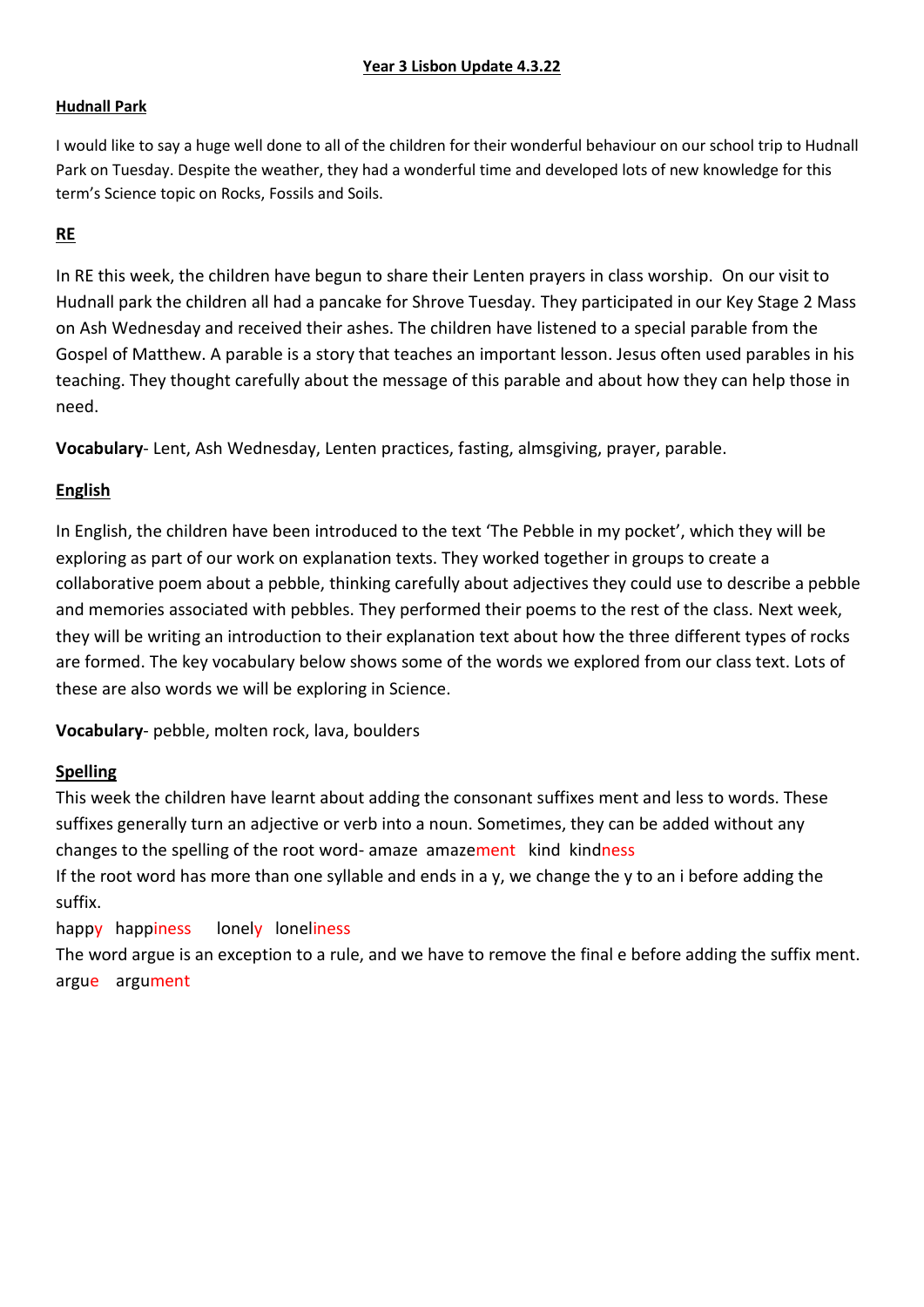## **Hudnall Park**

I would like to say a huge well done to all of the children for their wonderful behaviour on our school trip to Hudnall Park on Tuesday. Despite the weather, they had a wonderful time and developed lots of new knowledge for this term's Science topic on Rocks, Fossils and Soils.

## **RE**

In RE this week, the children have begun to share their Lenten prayers in class worship. On our visit to Hudnall park the children all had a pancake for Shrove Tuesday. They participated in our Key Stage 2 Mass on Ash Wednesday and received their ashes. The children have listened to a special parable from the Gospel of Matthew. A parable is a story that teaches an important lesson. Jesus often used parables in his teaching. They thought carefully about the message of this parable and about how they can help those in need.

**Vocabulary**- Lent, Ash Wednesday, Lenten practices, fasting, almsgiving, prayer, parable.

# **English**

In English, the children have been introduced to the text 'The Pebble in my pocket', which they will be exploring as part of our work on explanation texts. They worked together in groups to create a collaborative poem about a pebble, thinking carefully about adjectives they could use to describe a pebble and memories associated with pebbles. They performed their poems to the rest of the class. Next week, they will be writing an introduction to their explanation text about how the three different types of rocks are formed. The key vocabulary below shows some of the words we explored from our class text. Lots of these are also words we will be exploring in Science.

**Vocabulary**- pebble, molten rock, lava, boulders

# **Spelling**

This week the children have learnt about adding the consonant suffixes ment and less to words. These suffixes generally turn an adjective or verb into a noun. Sometimes, they can be added without any changes to the spelling of the root word- amaze amazement kind kindness

If the root word has more than one syllable and ends in a y, we change the y to an i before adding the suffix.

# happy happiness lonely loneliness

The word argue is an exception to a rule, and we have to remove the final e before adding the suffix ment. argue argument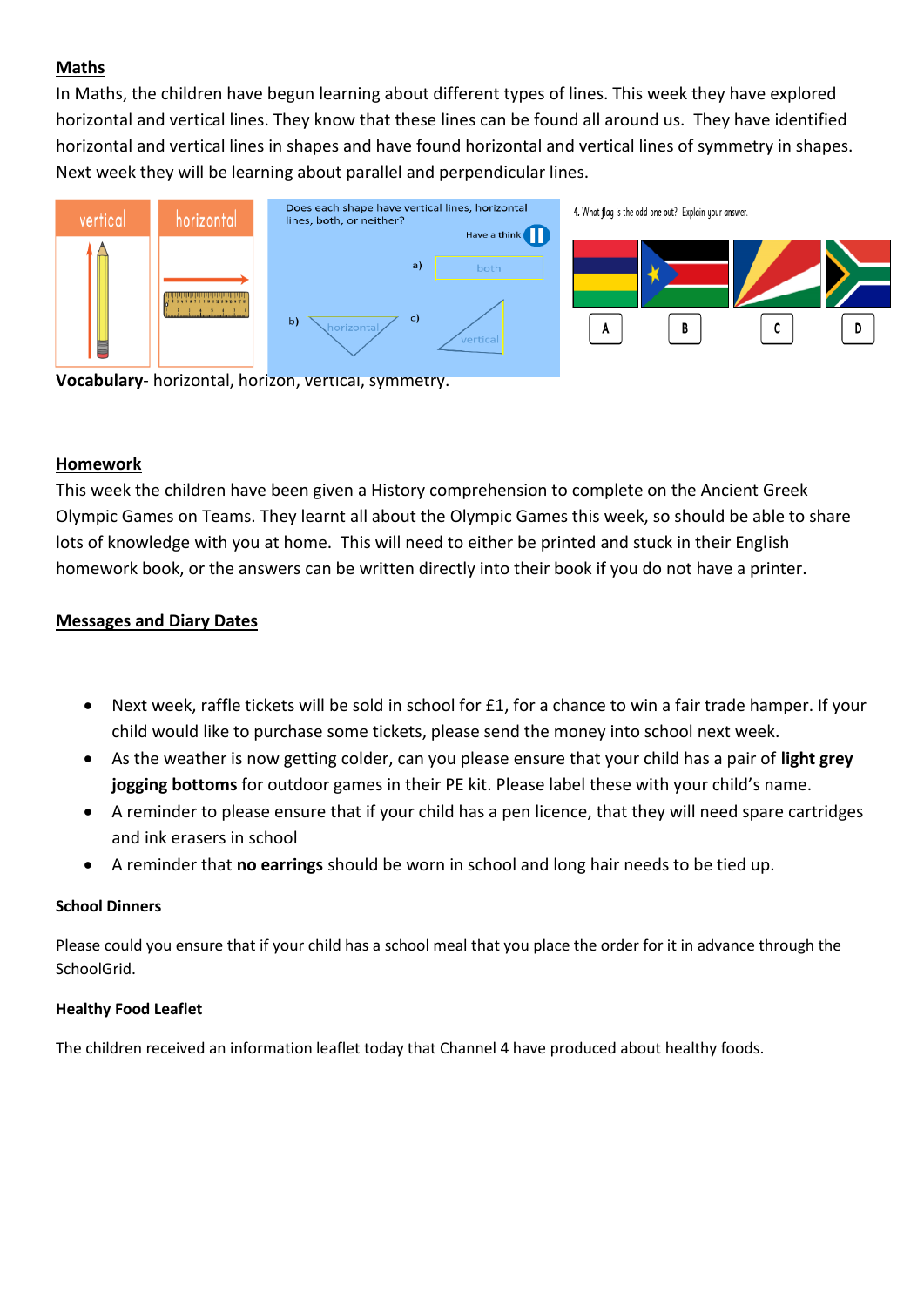## **Maths**

In Maths, the children have begun learning about different types of lines. This week they have explored horizontal and vertical lines. They know that these lines can be found all around us. They have identified horizontal and vertical lines in shapes and have found horizontal and vertical lines of symmetry in shapes. Next week they will be learning about parallel and perpendicular lines.



**Vocabulary**- horizontal, horizon, vertical, symmetry.

### **Homework**

This week the children have been given a History comprehension to complete on the Ancient Greek Olympic Games on Teams. They learnt all about the Olympic Games this week, so should be able to share lots of knowledge with you at home. This will need to either be printed and stuck in their English homework book, or the answers can be written directly into their book if you do not have a printer.

## **Messages and Diary Dates**

- Next week, raffle tickets will be sold in school for £1, for a chance to win a fair trade hamper. If your child would like to purchase some tickets, please send the money into school next week.
- As the weather is now getting colder, can you please ensure that your child has a pair of **light grey jogging bottoms** for outdoor games in their PE kit. Please label these with your child's name.
- A reminder to please ensure that if your child has a pen licence, that they will need spare cartridges and ink erasers in school
- A reminder that **no earrings** should be worn in school and long hair needs to be tied up.

#### **School Dinners**

Please could you ensure that if your child has a school meal that you place the order for it in advance through the SchoolGrid.

#### **Healthy Food Leaflet**

The children received an information leaflet today that Channel 4 have produced about healthy foods.